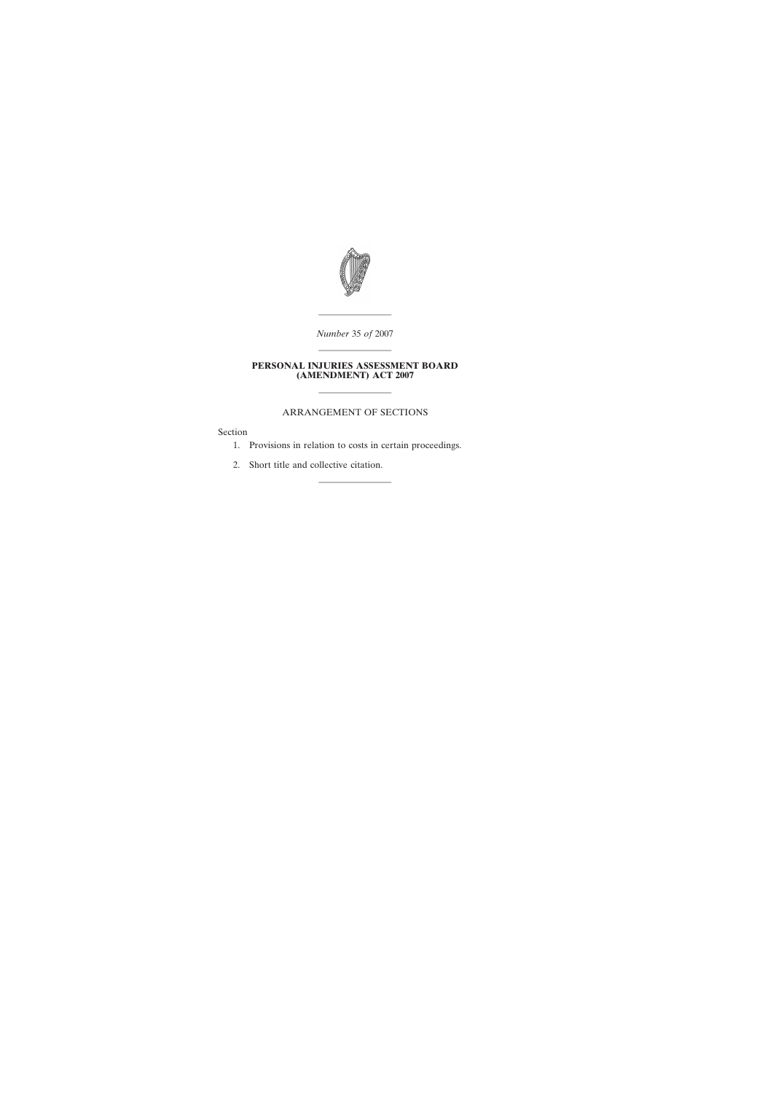

———————— *Number* 35 *of* 2007 ————————

## **PERSONAL INJURIES ASSESSMENT BOARD (AMENDMENT) ACT 2007**

## ARRANGEMENT OF SECTIONS

————————

Section

1. Provisions in relation to costs in certain proceedings.

————————

2. Short title and collective citation.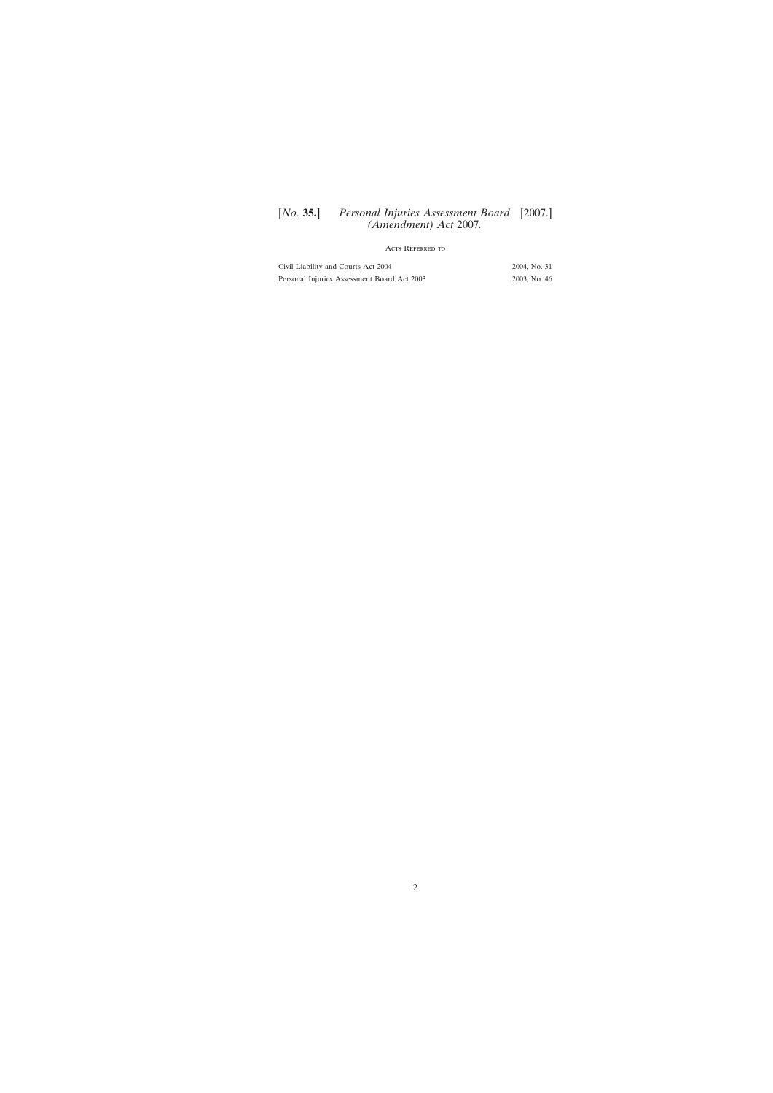# [*No.* **35.**] Personal Injuries Assessment Board [2007.] *(Amendment) Act* 2007*.*

## Acts Referred to

| Civil Liability and Courts Act 2004         | 2004, No. 31 |
|---------------------------------------------|--------------|
| Personal Injuries Assessment Board Act 2003 | 2003, No. 46 |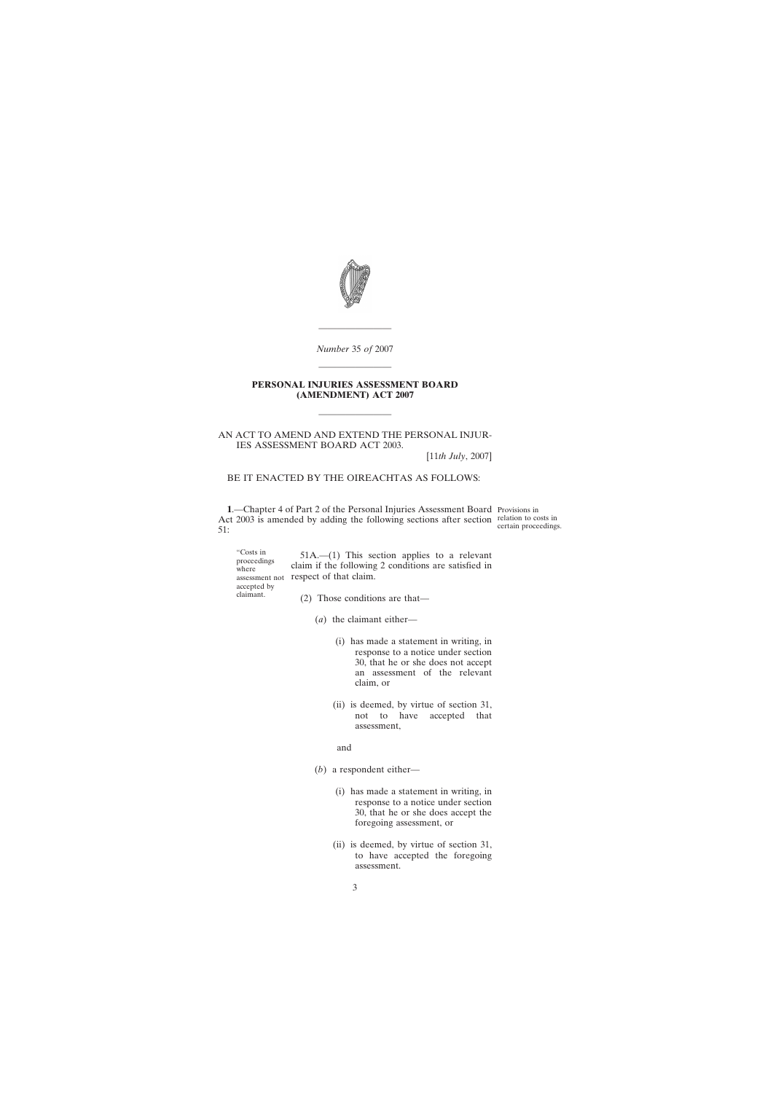

*Number* 35 *of* 2007 ————————

————————

#### **PERSONAL INJURIES ASSESSMENT BOARD (AMENDMENT) ACT 2007**

————————

AN ACT TO AMEND AND EXTEND THE PERSONAL INJUR-IES ASSESSMENT BOARD ACT 2003.

[11*th July*, 2007]

#### BE IT ENACTED BY THE OIREACHTAS AS FOLLOWS:

**1**.—Chapter 4 of Part 2 of the Personal Injuries Assessment Board Provisions in Act 2003 is amended by adding the following sections after section relation to costs in 51:

certain proceedings.

"Costs in proceedings where assessment not respect of that claim. accepted by claimant. 51A.—(1) This section applies to a relevant claim if the following 2 conditions are satisfied in (2) Those conditions are that—

(*a*) the claimant either—

- (i) has made a statement in writing, in response to a notice under section 30, that he or she does not accept an assessment of the relevant claim, or
- (ii) is deemed, by virtue of section 31, not to have accepted that assessment,

#### and

- (*b*) a respondent either—
	- (i) has made a statement in writing, in response to a notice under section 30, that he or she does accept the foregoing assessment, or
	- (ii) is deemed, by virtue of section 31, to have accepted the foregoing assessment.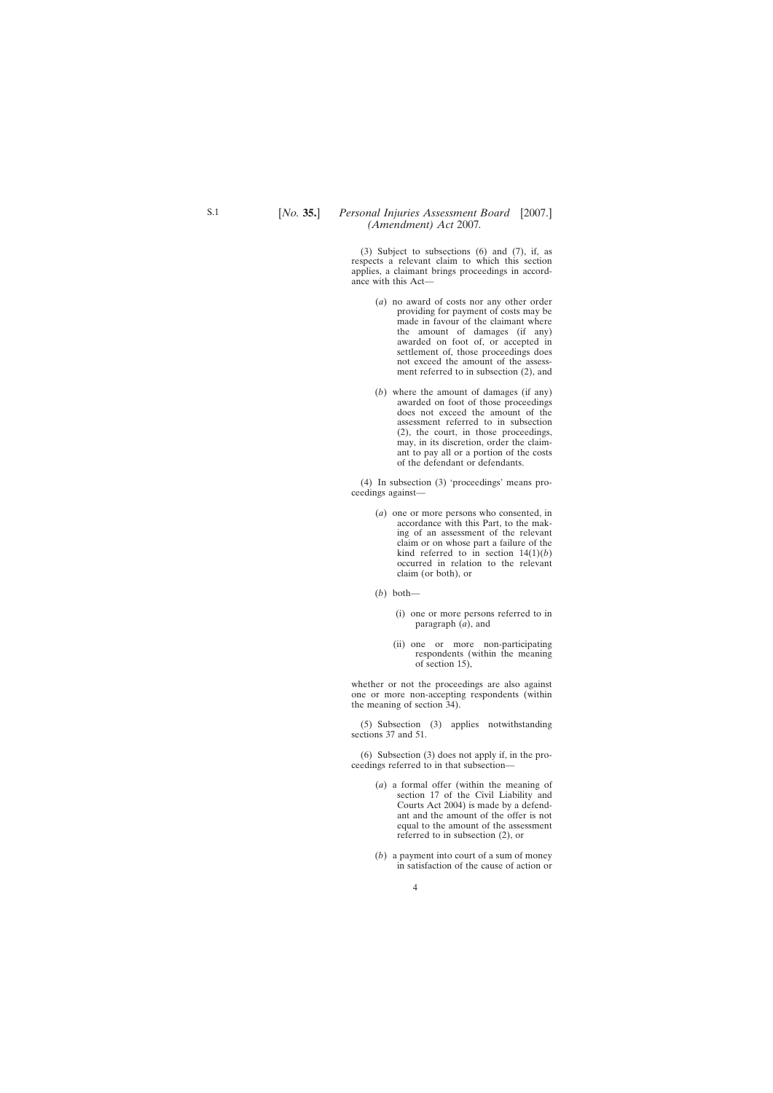(3) Subject to subsections (6) and (7), if, as respects a relevant claim to which this section applies, a claimant brings proceedings in accordance with this Act—

- (*a*) no award of costs nor any other order providing for payment of costs may be made in favour of the claimant where the amount of damages (if any) awarded on foot of, or accepted in settlement of, those proceedings does not exceed the amount of the assessment referred to in subsection (2), and
- (*b*) where the amount of damages (if any) awarded on foot of those proceedings does not exceed the amount of the assessment referred to in subsection (2), the court, in those proceedings, may, in its discretion, order the claimant to pay all or a portion of the costs of the defendant or defendants.

(4) In subsection (3) 'proceedings' means proceedings against—

- (*a*) one or more persons who consented, in accordance with this Part, to the making of an assessment of the relevant claim or on whose part a failure of the kind referred to in section  $14(1)(b)$ occurred in relation to the relevant claim (or both), or
- (*b*) both—
	- (i) one or more persons referred to in paragraph (*a*), and
	- (ii) one or more non-participating respondents (within the meaning of section 15),

whether or not the proceedings are also against one or more non-accepting respondents (within the meaning of section 34).

(5) Subsection (3) applies notwithstanding sections 37 and 51.

(6) Subsection (3) does not apply if, in the proceedings referred to in that subsection—

- (*a*) a formal offer (within the meaning of section 17 of the Civil Liability and Courts Act 2004) is made by a defendant and the amount of the offer is not equal to the amount of the assessment referred to in subsection (2), or
- (*b*) a payment into court of a sum of money in satisfaction of the cause of action or